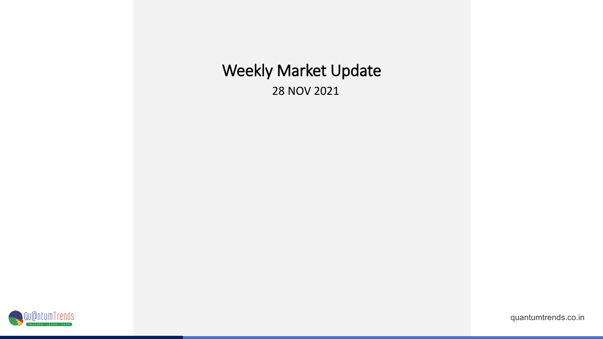## Weekly Market Update

28 NOV 2021

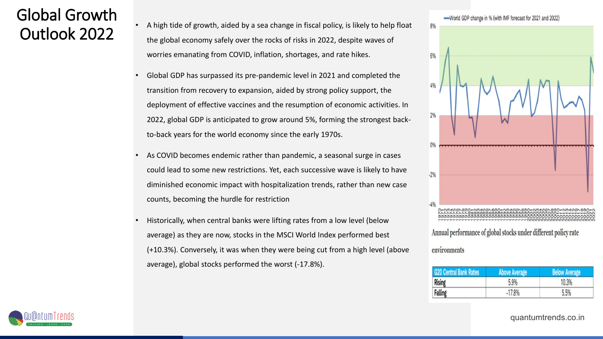# Global Growth

- $\overline{0}$ utlook 2022  $\overline{1}$  A high tide of growth, aided by a sea change in fiscal policy, is likely to help float the global economy safely over the rocks of risks in 2022, despite waves of worries emanating from COVID, inflation, shortages, and rate hikes.
	- Global GDP has surpassed its pre-pandemic level in 2021 and completed the transition from recovery to expansion, aided by strong policy support, the deployment of effective vaccines and the resumption of economic activities. In 2022, global GDP is anticipated to grow around 5%, forming the strongest backto-back years for the world economy since the early 1970s.
	- As COVID becomes endemic rather than pandemic, a seasonal surge in cases could lead to some new restrictions. Yet, each successive wave is likely to have diminished economic impact with hospitalization trends, rather than new case counts, becoming the hurdle for restriction
	- Historically, when central banks were lifting rates from a low level (below average) as they are now, stocks in the MSCI World Index performed best (+10.3%). Conversely, it was when they were being cut from a high level (above average), global stocks performed the worst (-17.8%).



#### environments

| <b>G20 Central Bank Rates</b> | <b>Above Average</b> | <b>Below Average</b> |
|-------------------------------|----------------------|----------------------|
| <b>Rising</b>                 | 5.9%                 | 10.3%                |
| Falling                       | $-17.8%$             | 5.5%                 |

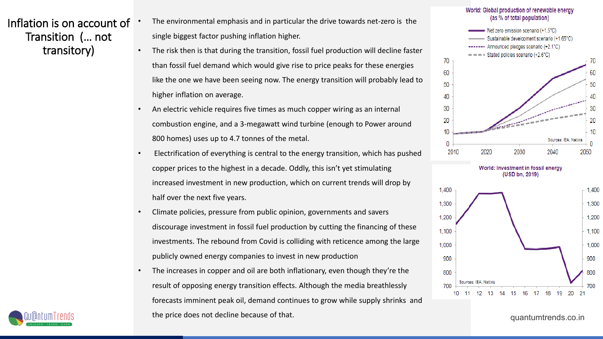Inflation is on account of Transition (… not transitory)

- The environmental emphasis and in particular the drive towards net-zero is the single biggest factor pushing inflation higher.
- The risk then is that during the transition, fossil fuel production will decline faster than fossil fuel demand which would give rise to price peaks for these energies like the one we have been seeing now. The energy transition will probably lead to higher inflation on average.
- An electric vehicle requires five times as much copper wiring as an internal combustion engine, and a 3-megawatt wind turbine (enough to Power around 800 homes) uses up to 4.7 tonnes of the metal.
- Electrification of everything is central to the energy transition, which has pushed copper prices to the highest in a decade. Oddly, this isn't yet stimulating increased investment in new production, which on current trends will drop by half over the next five years.
- Climate policies, pressure from public opinion, governments and savers discourage investment in fossil fuel production by cutting the financing of these investments. The rebound from Covid is colliding with reticence among the large publicly owned energy companies to invest in new production
- The increases in copper and oil are both inflationary, even though they're the result of opposing energy transition effects. Although the media breathlessly forecasts imminent peak oil, demand continues to grow while supply shrinks and the price does not decline because of that.







900

800

700



quantumtrends.co.in

900

800

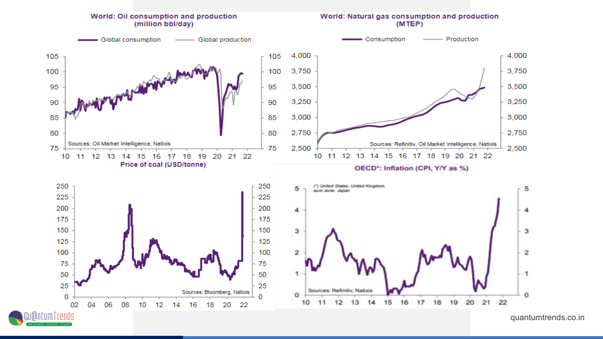

quantumtrends.co.in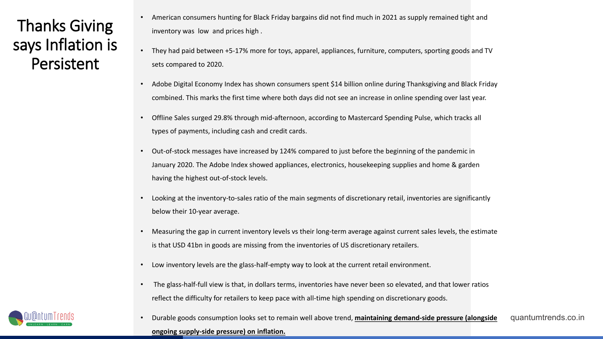Thanks Giving says Inflation is **Persistent** 

- American consumers hunting for Black Friday bargains did not find much in 2021 as supply remained tight and inventory was low and prices high .
- They had paid between +5-17% more for toys, apparel, appliances, furniture, computers, sporting goods and TV sets compared to 2020.
- Adobe Digital Economy Index has shown consumers spent \$14 billion online during Thanksgiving and Black Friday combined. This marks the first time where both days did not see an increase in online spending over last year.
- Offline Sales surged 29.8% through mid-afternoon, according to Mastercard Spending Pulse, which tracks all types of payments, including cash and credit cards.
- Out-of-stock messages have increased by 124% compared to just before the beginning of the pandemic in January 2020. The Adobe Index showed appliances, electronics, housekeeping supplies and home & garden having the highest out-of-stock levels.
- Looking at the inventory-to-sales ratio of the main segments of discretionary retail, inventories are significantly below their 10-year average.
- Measuring the gap in current inventory levels vs their long-term average against current sales levels, the estimate is that USD 41bn in goods are missing from the inventories of US discretionary retailers.
- Low inventory levels are the glass-half-empty way to look at the current retail environment.
- The glass-half-full view is that, in dollars terms, inventories have never been so elevated, and that lower ratios reflect the difficulty for retailers to keep pace with all-time high spending on discretionary goods.

quantumtrends.co.in • Durable goods consumption looks set to remain well above trend, **maintaining demand-side pressure (alongside ongoing supply-side pressure) on inflation.**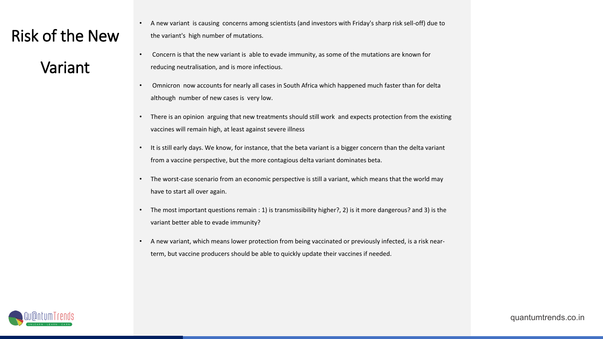#### Risk of the New

#### Variant

- A new variant is causing concerns among scientists (and investors with Friday's sharp risk sell-off) due to the variant's high number of mutations.
- Concern is that the new variant is able to evade immunity, as some of the mutations are known for reducing neutralisation, and is more infectious.
- Omnicron now accounts for nearly all cases in South Africa which happened much faster than for delta although number of new cases is very low.
- There is an opinion arguing that new treatments should still work and expects protection from the existing vaccines will remain high, at least against severe illness
- It is still early days. We know, for instance, that the beta variant is a bigger concern than the delta variant from a vaccine perspective, but the more contagious delta variant dominates beta.
- The worst-case scenario from an economic perspective is still a variant, which means that the world may have to start all over again.
- The most important questions remain : 1) is transmissibility higher?, 2) is it more dangerous? and 3) is the variant better able to evade immunity?
- A new variant, which means lower protection from being vaccinated or previously infected, is a risk nearterm, but vaccine producers should be able to quickly update their vaccines if needed.

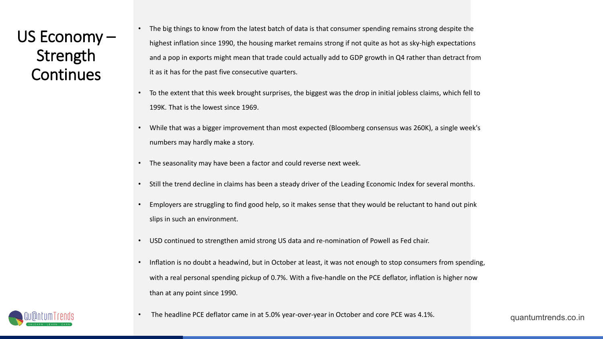US Economy – Strength **Continues** 

The big things to know from the latest batch of data is that consumer spending remains strong despite the highest inflation since 1990, the housing market remains strong if not quite as hot as sky-high expectations and a pop in exports might mean that trade could actually add to GDP growth in Q4 rather than detract from it as it has for the past five consecutive quarters.

- To the extent that this week brought surprises, the biggest was the drop in initial jobless claims, which fell to 199K. That is the lowest since 1969.
- While that was a bigger improvement than most expected (Bloomberg consensus was 260K), a single week's numbers may hardly make a story.
- The seasonality may have been a factor and could reverse next week.
- Still the trend decline in claims has been a steady driver of the Leading Economic Index for several months.
- Employers are struggling to find good help, so it makes sense that they would be reluctant to hand out pink slips in such an environment.
- USD continued to strengthen amid strong US data and re-nomination of Powell as Fed chair.
- Inflation is no doubt a headwind, but in October at least, it was not enough to stop consumers from spending, with a real personal spending pickup of 0.7%. With a five-handle on the PCE deflator, inflation is higher now than at any point since 1990.



• The headline PCE deflator came in at 5.0% year-over-year in October and core PCE was 4.1%.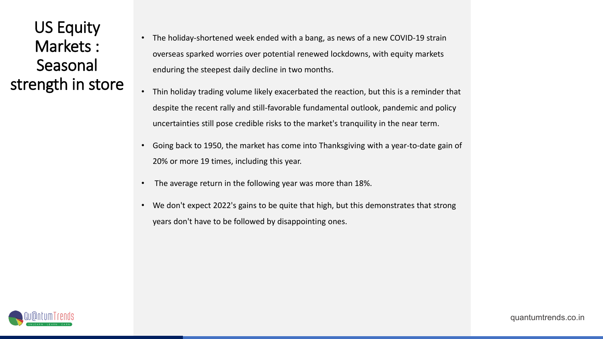US Equity Markets : Seasonal strength in store

- The holiday-shortened week ended with a bang, as news of a new COVID-19 strain overseas sparked worries over potential renewed lockdowns, with equity markets enduring the steepest daily decline in two months.
- Thin holiday trading volume likely exacerbated the reaction, but this is a reminder that despite the recent rally and still-favorable fundamental outlook, pandemic and policy uncertainties still pose credible risks to the market's tranquility in the near term.
- Going back to 1950, the market has come into Thanksgiving with a year-to-date gain of 20% or more 19 times, including this year.
- The average return in the following year was more than 18%.
- We don't expect 2022's gains to be quite that high, but this demonstrates that strong years don't have to be followed by disappointing ones.

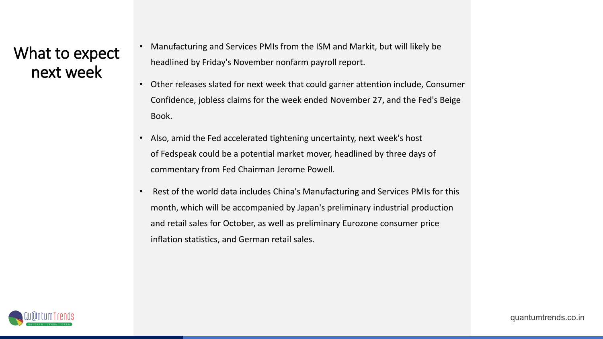#### What to expect next week

- Manufacturing and Services PMIs from the ISM and Markit, but will likely be headlined by Friday's November nonfarm payroll report.
- Other releases slated for next week that could garner attention include, Consumer Confidence, jobless claims for the week ended November 27, and the Fed's Beige Book.
- Also, amid the Fed accelerated tightening uncertainty, next week's host of Fedspeak could be a potential market mover, headlined by three days of commentary from Fed Chairman Jerome Powell.
- Rest of the world data includes China's Manufacturing and Services PMIs for this month, which will be accompanied by Japan's preliminary industrial production and retail sales for October, as well as preliminary Eurozone consumer price inflation statistics, and German retail sales.

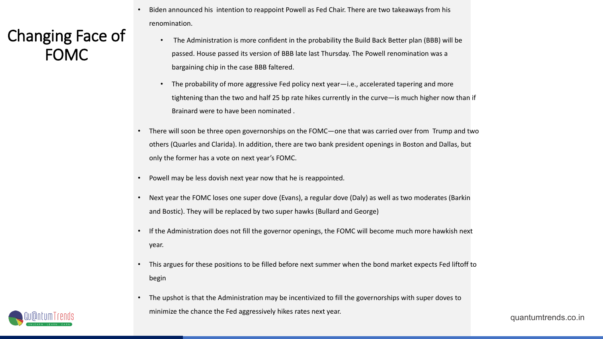#### Changing Face of FOMC

- Biden announced his intention to reappoint Powell as Fed Chair. There are two takeaways from his renomination.
	- The Administration is more confident in the probability the Build Back Better plan (BBB) will be passed. House passed its version of BBB late last Thursday. The Powell renomination was a bargaining chip in the case BBB faltered.
	- The probability of more aggressive Fed policy next year—i.e., accelerated tapering and more tightening than the two and half 25 bp rate hikes currently in the curve—is much higher now than if Brainard were to have been nominated .
- There will soon be three open governorships on the FOMC—one that was carried over from Trump and two others (Quarles and Clarida). In addition, there are two bank president openings in Boston and Dallas, but only the former has a vote on next year's FOMC.
- Powell may be less dovish next year now that he is reappointed.
- Next year the FOMC loses one super dove (Evans), a regular dove (Daly) as well as two moderates (Barkin and Bostic). They will be replaced by two super hawks (Bullard and George)
- If the Administration does not fill the governor openings, the FOMC will become much more hawkish next year.
- This argues for these positions to be filled before next summer when the bond market expects Fed liftoff to begin
- The upshot is that the Administration may be incentivized to fill the governorships with super doves to minimize the chance the Fed aggressively hikes rates next year.

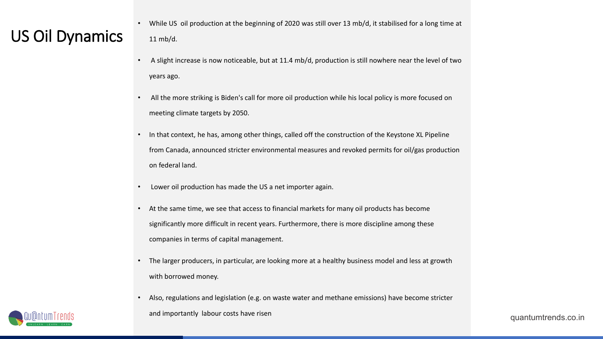- While US oil production at the beginning of 2020 was still over 13 mb/d, it stabilised for a long time at <br>US OII Dynamics 11 mb/d. 11 mb/d.
	- A slight increase is now noticeable, but at 11.4 mb/d, production is still nowhere near the level of two years ago.
	- All the more striking is Biden's call for more oil production while his local policy is more focused on meeting climate targets by 2050.
	- In that context, he has, among other things, called off the construction of the Keystone XL Pipeline from Canada, announced stricter environmental measures and revoked permits for oil/gas production on federal land.
	- Lower oil production has made the US a net importer again.
	- At the same time, we see that access to financial markets for many oil products has become significantly more difficult in recent years. Furthermore, there is more discipline among these companies in terms of capital management.
	- The larger producers, in particular, are looking more at a healthy business model and less at growth with borrowed money.
	- Also, regulations and legislation (e.g. on waste water and methane emissions) have become stricter and importantly labour costs have risen

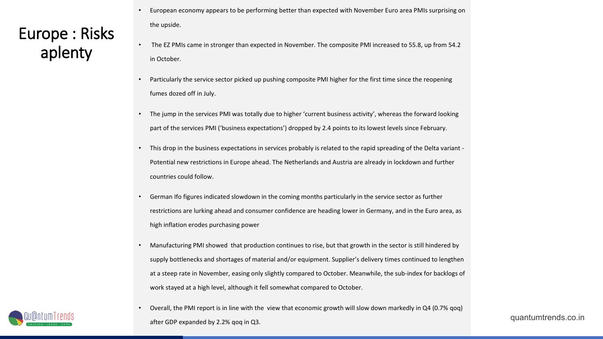### Europe : Risks aplenty

- European economy appears to be performing better than expected with November Euro area PMIs surprising on the upside.
- The EZ PMIs came in stronger than expected in November. The composite PMI increased to 55.8, up from 54.2 in October.
- Particularly the service sector picked up pushing composite PMI higher for the first time since the reopening fumes dozed off in July.
- The jump in the services PMI was totally due to higher 'current business activity', whereas the forward looking part of the services PMI ('business expectations') dropped by 2.4 points to its lowest levels since February.
- This drop in the business expectations in services probably is related to the rapid spreading of the Delta variant Potential new restrictions in Europe ahead. The Netherlands and Austria are already in lockdown and further countries could follow.
- German Ifo figures indicated slowdown in the coming months particularly in the service sector as further restrictions are lurking ahead and consumer confidence are heading lower in Germany, and in the Euro area, as high inflation erodes purchasing power
- Manufacturing PMI showed that production continues to rise, but that growth in the sector is still hindered by supply bottlenecks and shortages of material and/or equipment. Supplier's delivery times continued to lengthen at a steep rate in November, easing only slightly compared to October. Meanwhile, the sub-index for backlogs of work stayed at a high level, although it fell somewhat compared to October.
- Overall, the PMI report is in line with the view that economic growth will slow down markedly in Q4 (0.7% qoq) after GDP expanded by 2.2% qoq in Q3.

quantumtrends.co.in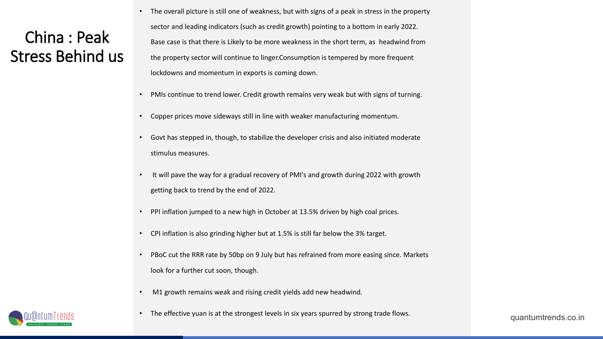#### China : Peak Stress Behind us

- The overall picture is still one of weakness, but with signs of a peak in stress in the property sector and leading indicators (such as credit growth) pointing to a bottom in early 2022. Base case is that there is Likely to be more weakness in the short term, as headwind from the property sector will continue to linger.Consumption is tempered by more frequent lockdowns and momentum in exports is coming down.
- PMIs continue to trend lower. Credit growth remains very weak but with signs of turning.
- Copper prices move sideways still in line with weaker manufacturing momentum.
- Govt has stepped in, though, to stabilize the developer crisis and also initiated moderate stimulus measures.
- It will pave the way for a gradual recovery of PMI's and growth during 2022 with growth getting back to trend by the end of 2022.
- PPI inflation jumped to a new high in October at 13.5% driven by high coal prices.
- CPI inflation is also grinding higher but at 1.5% is still far below the 3% target.
- PBoC cut the RRR rate by 50bp on 9 July but has refrained from more easing since. Markets look for a further cut soon, though.
- M1 growth remains weak and rising credit yields add new headwind.
- The effective yuan is at the strongest levels in six years spurred by strong trade flows.



quantumtrends.co.in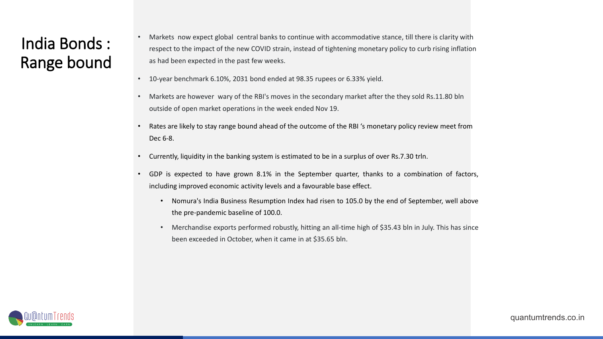#### India Bonds : Range bound

- Markets now expect global central banks to continue with accommodative stance, till there is clarity with respect to the impact of the new COVID strain, instead of tightening monetary policy to curb rising inflation as had been expected in the past few weeks.
- 10-year benchmark 6.10%, 2031 bond ended at 98.35 rupees or 6.33% yield.
- Markets are however wary of the RBI's moves in the secondary market after the they sold Rs.11.80 bln outside of open market operations in the week ended Nov 19.
- Rates are likely to stay range bound ahead of the outcome of the RBI 's monetary policy review meet from Dec 6-8.
- Currently, liquidity in the banking system is estimated to be in a surplus of over Rs.7.30 trln.
- GDP is expected to have grown 8.1% in the September quarter, thanks to a combination of factors, including improved economic activity levels and a favourable base effect.
	- Nomura's India Business Resumption Index had risen to 105.0 by the end of September, well above the pre-pandemic baseline of 100.0.
	- Merchandise exports performed robustly, hitting an all-time high of \$35.43 bln in July. This has since been exceeded in October, when it came in at \$35.65 bln.